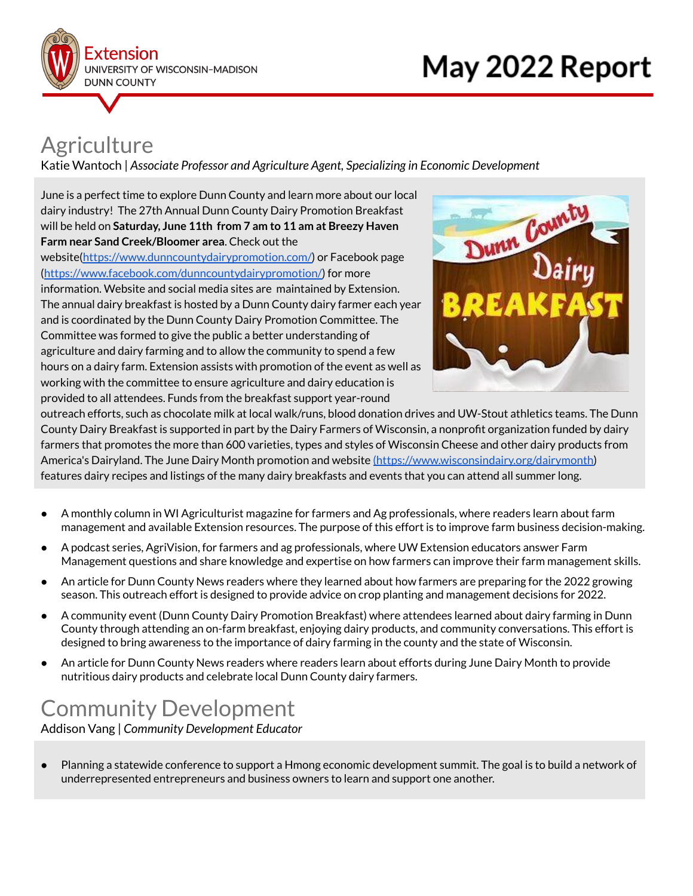

# **Agriculture**

Katie Wantoch | *Associate Professor and Agriculture Agent, Specializing in Economic Development*

June is a perfect time to explore Dunn County and learn more about our local dairy industry! The 27th Annual Dunn County Dairy Promotion Breakfast will be held on **Saturday, June 11th from 7 am to 11 am at Breezy Haven Farm near Sand Creek/Bloomer area**. Check out the website[\(https://www.dunncountydairypromotion.com/\)](https://www.dunncountydairypromotion.com/) or Facebook page ([https://www.facebook.com/dunncountydairypromotion/\)](https://www.facebook.com/dunncountydairypromotion/) for more information. Website and social media sites are maintained by Extension. The annual dairy breakfast is hosted by a Dunn County dairy farmer each year and is coordinated by the Dunn County Dairy Promotion Committee. The Committee was formed to give the public a better understanding of agriculture and dairy farming and to allow the community to spend a few hours on a dairy farm. Extension assists with promotion of the event as well as working with the committee to ensure agriculture and dairy education is provided to all attendees. Funds from the breakfast support year-round



outreach efforts, such as chocolate milk at local walk/runs, blood donation drives and UW-Stout athletics teams. The Dunn County Dairy Breakfast is supported in part by the Dairy Farmers of Wisconsin, a nonprofit organization funded by dairy farmers that promotes the more than 600 varieties, types and styles of Wisconsin Cheese and other dairy products from America's Dairyland. The June Dairy Month promotion and website [\(https://www.wisconsindairy.org/dairymonth\)](https://www.wisconsindairy.org/dairymonth) features dairy recipes and listings of the many dairy breakfasts and events that you can attend all summer long.

- A monthly column in WI Agriculturist magazine for farmers and Ag professionals, where readers learn about farm management and available Extension resources. The purpose of this effort is to improve farm business decision-making.
- A podcast series, AgriVision, for farmers and ag professionals, where UW Extension educators answer Farm Management questions and share knowledge and expertise on how farmers can improve their farm management skills.
- An article for Dunn County News readers where they learned about how farmers are preparing for the 2022 growing season. This outreach effort is designed to provide advice on crop planting and management decisions for 2022.
- A community event (Dunn County Dairy Promotion Breakfast) where attendees learned about dairy farming in Dunn County through attending an on-farm breakfast, enjoying dairy products, and community conversations. This effort is designed to bring awareness to the importance of dairy farming in the county and the state of Wisconsin.
- An article for Dunn County News readers where readers learn about efforts during June Dairy Month to provide nutritious dairy products and celebrate local Dunn County dairy farmers.

# Community Development

Addison Vang | *Community Development Educator*

● Planning a statewide conference to support a Hmong economic development summit. The goal is to build a network of underrepresented entrepreneurs and business owners to learn and support one another.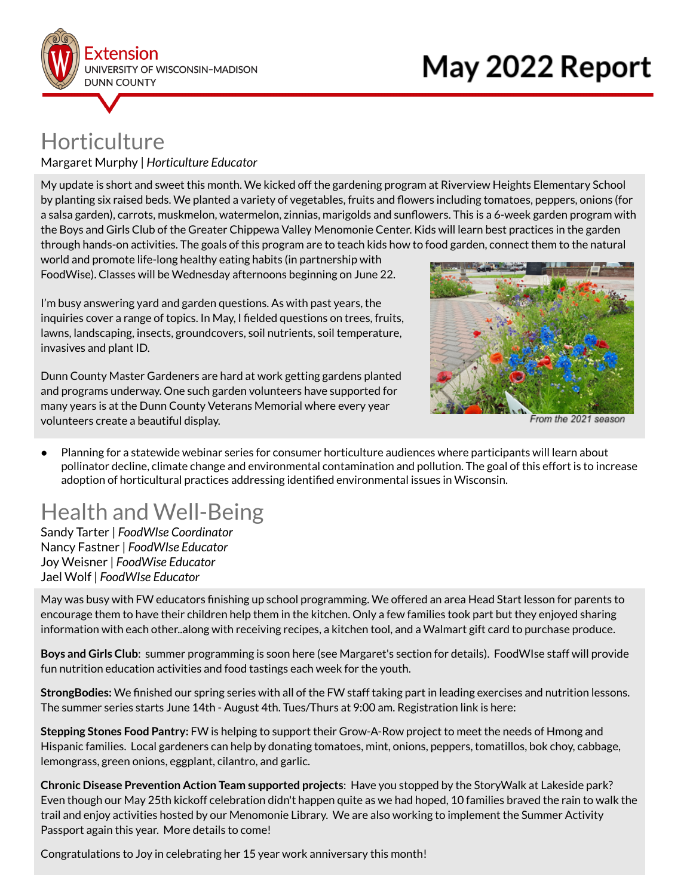

### Horticulture Margaret Murphy | *Horticulture Educator*

My update is short and sweet this month. We kicked off the gardening program at Riverview Heights Elementary School by planting six raised beds. We planted a variety of vegetables, fruits and flowers including tomatoes, peppers, onions (for a salsa garden), carrots, muskmelon, watermelon, zinnias, marigolds and sunflowers. This is a 6-week garden program with the Boys and Girls Club of the Greater Chippewa Valley Menomonie Center. Kids will learn best practices in the garden through hands-on activities. The goals of this program are to teach kids how to food garden, connect them to the natural

world and promote life-long healthy eating habits (in partnership with FoodWise). Classes will be Wednesday afternoons beginning on June 22.

I'm busy answering yard and garden questions. As with past years, the inquiries cover a range of topics. In May, I fielded questions on trees, fruits, lawns, landscaping, insects, groundcovers, soil nutrients, soil temperature, invasives and plant ID.

Dunn County Master Gardeners are hard at work getting gardens planted and programs underway. One such garden volunteers have supported for many years is at the Dunn County Veterans Memorial where every year volunteers create a beautiful display.



From the 2021 season

● Planning for a statewide webinar series for consumer horticulture audiences where participants will learn about pollinator decline, climate change and environmental contamination and pollution. The goal of this effort is to increase adoption of horticultural practices addressing identified environmental issues in Wisconsin.

# Health and Well-Being

Sandy Tarter | *FoodWIse Coordinator* Nancy Fastner | *FoodWIse Educator* Joy Weisner | *FoodWise Educator* Jael Wolf | *FoodWIse Educator*

May was busy with FW educators finishing up school programming. We offered an area Head Start lesson for parents to encourage them to have their children help them in the kitchen. Only a few families took part but they enjoyed sharing information with each other..along with receiving recipes, a kitchen tool, and a Walmart gift card to purchase produce.

**Boys and Girls Club**: summer programming is soon here (see Margaret's section for details). FoodWIse staff will provide fun nutrition education activities and food tastings each week for the youth.

**StrongBodies:** We finished our spring series with all of the FW staff taking part in leading exercises and nutrition lessons. The summer series starts June 14th - August 4th. Tues/Thurs at 9:00 am. Registration link is here:

**Stepping Stones Food Pantry:** FW is helping to support their Grow-A-Row project to meet the needs of Hmong and Hispanic families. Local gardeners can help by donating tomatoes, mint, onions, peppers, tomatillos, bok choy, cabbage, lemongrass, green onions, eggplant, cilantro, and garlic.

**Chronic Disease Prevention Action Team supported projects**: Have you stopped by the StoryWalk at Lakeside park? Even though our May 25th kickoff celebration didn't happen quite as we had hoped, 10 families braved the rain to walk the trail and enjoy activities hosted by our Menomonie Library. We are also working to implement the Summer Activity Passport again this year. More details to come!

Congratulations to Joy in celebrating her 15 year work anniversary this month!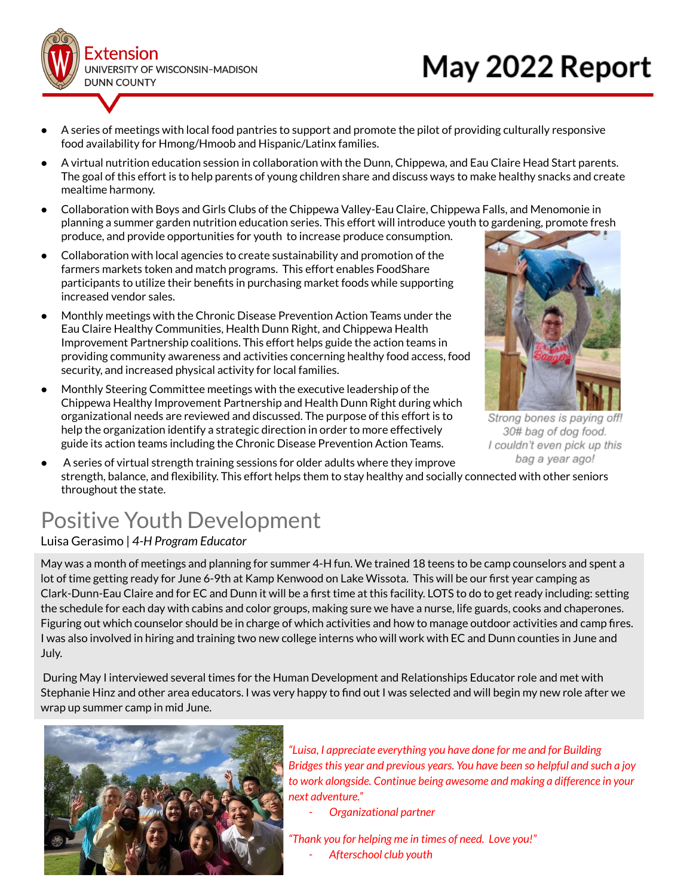

- A series of meetings with local food pantries to support and promote the pilot of providing culturally responsive food availability for Hmong/Hmoob and Hispanic/Latinx families.
- A virtual nutrition education session in collaboration with the Dunn, Chippewa, and Eau Claire Head Start parents. The goal of this effort is to help parents of young children share and discuss ways to make healthy snacks and create mealtime harmony.
- Collaboration with Boys and Girls Clubs of the Chippewa Valley-Eau Claire, Chippewa Falls, and Menomonie in planning a summer garden nutrition education series. This effort will introduce youth to gardening, promote fresh produce, and provide opportunities for youth to increase produce consumption.
- Collaboration with local agencies to create sustainability and promotion of the farmers markets token and match programs. This effort enables FoodShare participants to utilize their benefits in purchasing market foods while supporting increased vendor sales.
- Monthly meetings with the Chronic Disease Prevention Action Teams under the Eau Claire Healthy Communities, Health Dunn Right, and Chippewa Health Improvement Partnership coalitions. This effort helps guide the action teams in providing community awareness and activities concerning healthy food access, food security, and increased physical activity for local families.
- Monthly Steering Committee meetings with the executive leadership of the Chippewa Healthy Improvement Partnership and Health Dunn Right during which organizational needs are reviewed and discussed. The purpose of this effort is to help the organization identify a strategic direction in order to more effectively guide its action teams including the Chronic Disease Prevention Action Teams.



Strong bones is paying off! 30# bag of dog food. I couldn't even pick up this bag a year ago!

A series of virtual strength training sessions for older adults where they improve strength, balance, and flexibility. This effort helps them to stay healthy and socially connected with other seniors throughout the state.

# Positive Youth Development

#### Luisa Gerasimo | *4-H Program Educator*

May was a month of meetings and planning for summer 4-H fun. We trained 18 teens to be camp counselors and spent a lot of time getting ready for June 6-9th at Kamp Kenwood on Lake Wissota. This will be our first year camping as Clark-Dunn-Eau Claire and for EC and Dunn it will be a first time at this facility. LOTS to do to get ready including: setting the schedule for each day with cabins and color groups, making sure we have a nurse, life guards, cooks and chaperones. Figuring out which counselor should be in charge of which activities and how to manage outdoor activities and camp fires. I was also involved in hiring and training two new college interns who will work with EC and Dunn counties in June and July.

During May I interviewed several times for the Human Development and Relationships Educator role and met with Stephanie Hinz and other area educators. I was very happy to find out I was selected and will begin my new role after we wrap up summer camp in mid June.



*"Luisa, I appreciate everything you have done for me and for Building Bridgesthis year and previous years. You have been so helpful and such a joy to work alongside. Continue being awesome and making a difference in your next adventure."*

- *- Organizational partner*
- *"Thank you for helping me in times of need. Love you!" - Afterschool club youth*